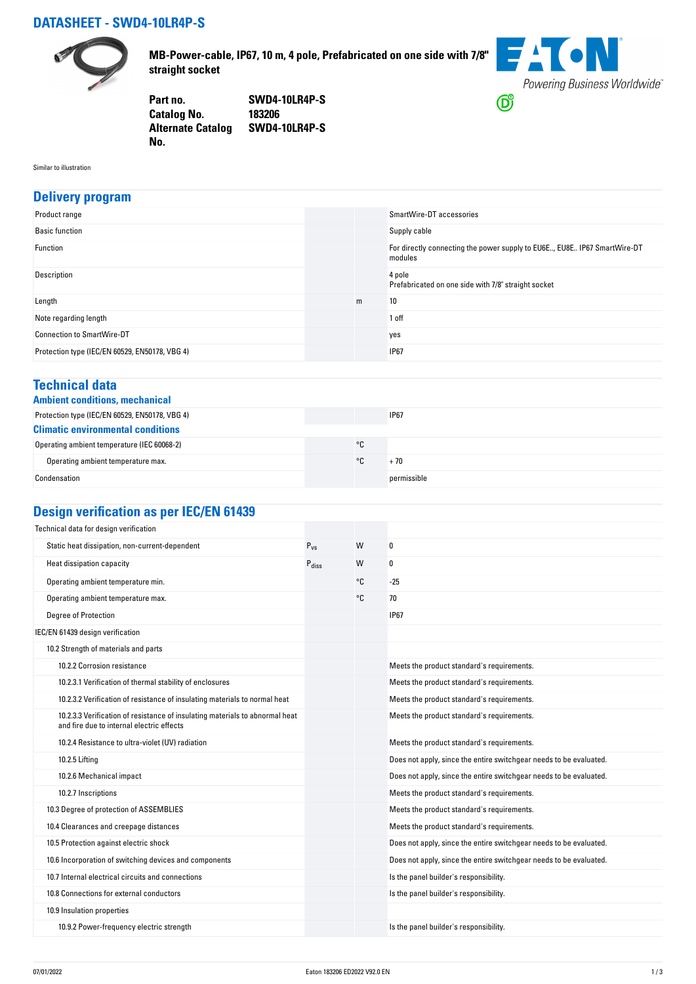## **DATASHEET - SWD4-10LR4P-S**



**MB-Power-cable, IP67, 10 m, 4 pole, Prefabricated on one side with 7/8" straight socket**

**FACN** Powering Business Worldwide®  $\bigcirc$ 

**Part no. SWD4-10LR4P-S Catalog No. Alternate Catalog SWD4-10LR4P-S No.** 

Similar to illustration

#### **Delivery program**

| Product range                                  |   | SmartWire-DT accessories                                                            |
|------------------------------------------------|---|-------------------------------------------------------------------------------------|
| <b>Basic function</b>                          |   | Supply cable                                                                        |
| Function                                       |   | For directly connecting the power supply to EU6E, EU8E IP67 SmartWire-DT<br>modules |
| Description                                    |   | 4 pole<br>Prefabricated on one side with 7/8" straight socket                       |
| Length                                         | m | 10                                                                                  |
| Note regarding length                          |   | 1 off                                                                               |
| <b>Connection to SmartWire-DT</b>              |   | yes                                                                                 |
| Protection type (IEC/EN 60529, EN50178, VBG 4) |   | <b>IP67</b>                                                                         |

#### **Technical data**

|  | <b>Ambient conditions, mechanica</b> |
|--|--------------------------------------|
|  |                                      |

| Ambient conditions, mechanical                 |    |             |  |
|------------------------------------------------|----|-------------|--|
| Protection type (IEC/EN 60529, EN50178, VBG 4) |    | <b>IP67</b> |  |
| <b>Climatic environmental conditions</b>       |    |             |  |
| Operating ambient temperature (IEC 60068-2)    | °C |             |  |
| Operating ambient temperature max.             | ۰c | + 70        |  |
| Condensation                                   |    | permissible |  |

# **Design verification as per IEC/EN 61439**

| Technical data for design verification                                                                                    |                   |    |                                                                    |
|---------------------------------------------------------------------------------------------------------------------------|-------------------|----|--------------------------------------------------------------------|
| Static heat dissipation, non-current-dependent                                                                            | $P_{VS}$          | W  | 0                                                                  |
| Heat dissipation capacity                                                                                                 | $P_{\text{diss}}$ | W  | 0                                                                  |
| Operating ambient temperature min.                                                                                        |                   | °C | $-25$                                                              |
| Operating ambient temperature max.                                                                                        |                   | °C | 70                                                                 |
| <b>Degree of Protection</b>                                                                                               |                   |    | <b>IP67</b>                                                        |
| IEC/EN 61439 design verification                                                                                          |                   |    |                                                                    |
| 10.2 Strength of materials and parts                                                                                      |                   |    |                                                                    |
| 10.2.2 Corrosion resistance                                                                                               |                   |    | Meets the product standard's requirements.                         |
| 10.2.3.1 Verification of thermal stability of enclosures                                                                  |                   |    | Meets the product standard's requirements.                         |
| 10.2.3.2 Verification of resistance of insulating materials to normal heat                                                |                   |    | Meets the product standard's requirements.                         |
| 10.2.3.3 Verification of resistance of insulating materials to abnormal heat<br>and fire due to internal electric effects |                   |    | Meets the product standard's requirements.                         |
| 10.2.4 Resistance to ultra-violet (UV) radiation                                                                          |                   |    | Meets the product standard's requirements.                         |
| 10.2.5 Lifting                                                                                                            |                   |    | Does not apply, since the entire switchgear needs to be evaluated. |
| 10.2.6 Mechanical impact                                                                                                  |                   |    | Does not apply, since the entire switchgear needs to be evaluated. |
| 10.2.7 Inscriptions                                                                                                       |                   |    | Meets the product standard's requirements.                         |
| 10.3 Degree of protection of ASSEMBLIES                                                                                   |                   |    | Meets the product standard's requirements.                         |
| 10.4 Clearances and creepage distances                                                                                    |                   |    | Meets the product standard's requirements.                         |
| 10.5 Protection against electric shock                                                                                    |                   |    | Does not apply, since the entire switchgear needs to be evaluated. |
| 10.6 Incorporation of switching devices and components                                                                    |                   |    | Does not apply, since the entire switchgear needs to be evaluated. |
| 10.7 Internal electrical circuits and connections                                                                         |                   |    | Is the panel builder's responsibility.                             |
| 10.8 Connections for external conductors                                                                                  |                   |    | Is the panel builder's responsibility.                             |
| 10.9 Insulation properties                                                                                                |                   |    |                                                                    |
| 10.9.2 Power-frequency electric strength                                                                                  |                   |    | Is the panel builder's responsibility.                             |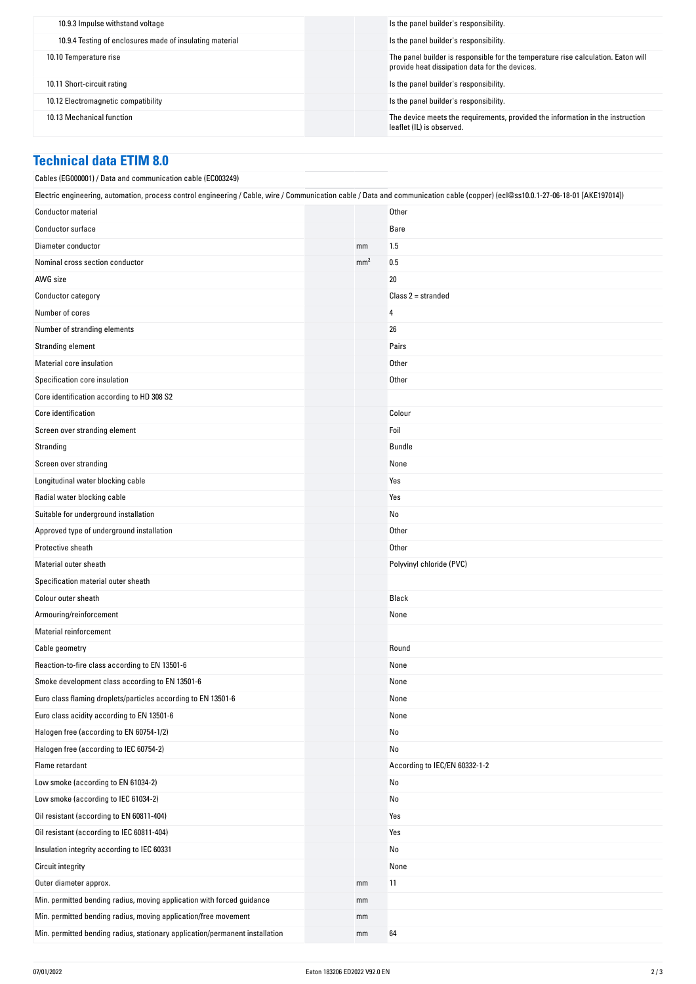| 10.9.3 Impulse withstand voltage                         | Is the panel builder's responsibility.                                                                                              |
|----------------------------------------------------------|-------------------------------------------------------------------------------------------------------------------------------------|
| 10.9.4 Testing of enclosures made of insulating material | Is the panel builder's responsibility.                                                                                              |
| 10.10 Temperature rise                                   | The panel builder is responsible for the temperature rise calculation. Eaton will<br>provide heat dissipation data for the devices. |
| 10.11 Short-circuit rating                               | Is the panel builder's responsibility.                                                                                              |
| 10.12 Electromagnetic compatibility                      | Is the panel builder's responsibility.                                                                                              |
| 10.13 Mechanical function                                | The device meets the requirements, provided the information in the instruction<br>leaflet (IL) is observed.                         |

### **Technical data ETIM 8.0**

| Cables (EG000001) / Data and communication cable (EC003249)                                                                                                                      |                 |                               |
|----------------------------------------------------------------------------------------------------------------------------------------------------------------------------------|-----------------|-------------------------------|
| Electric engineering, automation, process control engineering / Cable, wire / Communication cable / Data and communication cable (copper) (ecl@ss10.0.1-27-06-18-01 [AKE197014]) |                 |                               |
| <b>Conductor material</b>                                                                                                                                                        |                 | Other                         |
| Conductor surface                                                                                                                                                                |                 | Bare                          |
| Diameter conductor                                                                                                                                                               | mm              | 1.5                           |
| Nominal cross section conductor                                                                                                                                                  | mm <sup>2</sup> | 0.5                           |
| AWG size                                                                                                                                                                         |                 | 20                            |
| Conductor category                                                                                                                                                               |                 | $Class 2 = stranded$          |
| Number of cores                                                                                                                                                                  |                 | 4                             |
| Number of stranding elements                                                                                                                                                     |                 | 26                            |
| Stranding element                                                                                                                                                                |                 | Pairs                         |
| Material core insulation                                                                                                                                                         |                 | Other                         |
| Specification core insulation                                                                                                                                                    |                 | Other                         |
| Core identification according to HD 308 S2                                                                                                                                       |                 |                               |
| Core identification                                                                                                                                                              |                 | Colour                        |
| Screen over stranding element                                                                                                                                                    |                 | Foil                          |
| Stranding                                                                                                                                                                        |                 | Bundle                        |
| Screen over stranding                                                                                                                                                            |                 | None                          |
| Longitudinal water blocking cable                                                                                                                                                |                 | Yes                           |
| Radial water blocking cable                                                                                                                                                      |                 | Yes                           |
| Suitable for underground installation                                                                                                                                            |                 | No                            |
| Approved type of underground installation                                                                                                                                        |                 | Other                         |
| Protective sheath                                                                                                                                                                |                 | Other                         |
| Material outer sheath                                                                                                                                                            |                 | Polyvinyl chloride (PVC)      |
| Specification material outer sheath                                                                                                                                              |                 |                               |
| Colour outer sheath                                                                                                                                                              |                 | Black                         |
| Armouring/reinforcement                                                                                                                                                          |                 | None                          |
| <b>Material reinforcement</b>                                                                                                                                                    |                 |                               |
| Cable geometry                                                                                                                                                                   |                 | Round                         |
| Reaction-to-fire class according to EN 13501-6                                                                                                                                   |                 | None                          |
| Smoke development class according to EN 13501-6                                                                                                                                  |                 | None                          |
| Euro class flaming droplets/particles according to EN 13501-6                                                                                                                    |                 | None                          |
| Euro class acidity according to EN 13501-6                                                                                                                                       |                 | None                          |
| Halogen free (according to EN 60754-1/2)                                                                                                                                         |                 | No                            |
| Halogen free (according to IEC 60754-2)                                                                                                                                          |                 | No                            |
| Flame retardant                                                                                                                                                                  |                 | According to IEC/EN 60332-1-2 |
| Low smoke (according to EN 61034-2)                                                                                                                                              |                 | No                            |
| Low smoke (according to IEC 61034-2)                                                                                                                                             |                 | No                            |
| Oil resistant (according to EN 60811-404)                                                                                                                                        |                 | Yes                           |
| Oil resistant (according to IEC 60811-404)                                                                                                                                       |                 | Yes                           |
| Insulation integrity according to IEC 60331                                                                                                                                      |                 | No                            |
| <b>Circuit integrity</b>                                                                                                                                                         |                 | None                          |
| Outer diameter approx.                                                                                                                                                           | mm              | 11                            |
| Min. permitted bending radius, moving application with forced guidance                                                                                                           | mm              |                               |
| Min. permitted bending radius, moving application/free movement                                                                                                                  | mm              |                               |
| Min. permitted bending radius, stationary application/permanent installation                                                                                                     | mm              | 64                            |